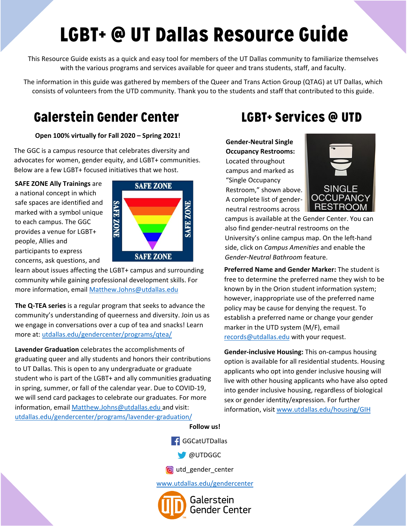# LGBT+ @ UT Dallas Resource Guide

This Resource Guide exists as a quick and easy tool for members of the UT Dallas community to familiarize themselves with the various programs and services available for queer and trans students, staff, and faculty.

The information in this guide was gathered by members of the Queer and Trans Action Group (QTAG) at UT Dallas, which consists of volunteers from the UTD community. Thank you to the students and staff that contributed to this guide.

### Galerstein Gender Center LGBT+ Services @ UTD

#### **Open 100% virtually for Fall 2020 – Spring 2021!**

The GGC is a campus resource that celebrates diversity and advocates for women, gender equity, and LGBT+ communities. Below are a few LGBT+ focused initiatives that we host.

**SAFE ZONE Ally Trainings** are a national concept in which safe spaces are identified and marked with a symbol unique to each campus. The GGC provides a venue for LGBT+ people, Allies and participants to express concerns, ask questions, and



learn about issues affecting the LGBT+ campus and surrounding community while gaining professional development skills. For more information, email [Matthew.Johns@utdallas.edu](mailto:Matthew.Johns@utdallas.edu)

**The Q-TEA series** is a regular program that seeks to advance the community's understanding of queerness and diversity. Join us as we engage in conversations over a cup of tea and snacks! Learn more at: [utdallas.edu/gendercenter/programs/qtea/](http://www.utdallas.edu/gendercenter/programs/qtea/)

**Lavender Graduation** celebrates the accomplishments of graduating queer and ally students and honors their contributions to UT Dallas. This is open to any undergraduate or graduate student who is part of the LGBT+ and ally communities graduating in spring, summer, or fall of the calendar year. Due to COVID-19, we will send card packages to celebrate our graduates. For more information, email [Matthew.Johns@utdallas.edu](mailto:Matthew.Johns@utdallas.edu) and visit: utdallas.edu/gendercenter/programs/lavender-graduation/

**Gender-Neutral Single Occupancy Restrooms:** Located throughout campus and marked as "Single Occupancy Restroom," shown above. A complete list of genderneutral restrooms across



campus is available at the Gender Center. You can also find gender-neutral restrooms on the University's online campus map. On the left-hand side, click on *Campus Amenities* and enable the *Gender-Neutral Bathroom* feature.

**Preferred Name and Gender Marker:** The student is free to determine the preferred name they wish to be known by in the Orion student information system; however, inappropriate use of the preferred name policy may be cause for denying the request. To establish a preferred name or change your gender marker in the UTD system (M/F), email [records@utdallas.edu](mailto:records@utdallas.edu) with your request.

**Gender-inclusive Housing:** This on-campus housing option is available for all residential students. Housing applicants who opt into gender inclusive housing will live with other housing applicants who have also opted into gender inclusive housing, regardless of biological sex or gender identity/expression. For further information, visit [www.utdallas.edu/housing/GIH](http://www.utdallas.edu/housing/GIH)

#### **Follow us!**



**OUTDGGC** 

**o** utd\_gender\_center

[www.utdallas.edu/gendercenter](http://www.utdallas.edu/gendercenter)